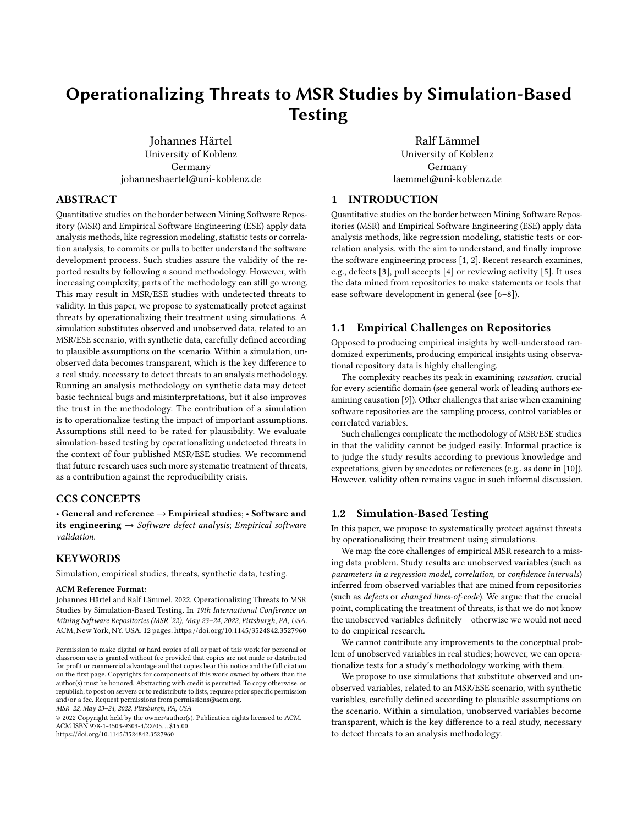# Operationalizing Threats to MSR Studies by Simulation-Based **Testing**

[Johannes Härtel](https://orcid.org/0000-0002-7461-2320) University of Koblenz Germany johanneshaertel@uni-koblenz.de

[Ralf Lämmel](https://orcid.org/0000-0001-9946-4363) University of Koblenz Germany laemmel@uni-koblenz.de

# ABSTRACT

Quantitative studies on the border between Mining Software Repository (MSR) and Empirical Software Engineering (ESE) apply data analysis methods, like regression modeling, statistic tests or correlation analysis, to commits or pulls to better understand the software development process. Such studies assure the validity of the reported results by following a sound methodology. However, with increasing complexity, parts of the methodology can still go wrong. This may result in MSR/ESE studies with undetected threats to validity. In this paper, we propose to systematically protect against threats by operationalizing their treatment using simulations. A simulation substitutes observed and unobserved data, related to an MSR/ESE scenario, with synthetic data, carefully defined according to plausible assumptions on the scenario. Within a simulation, unobserved data becomes transparent, which is the key difference to a real study, necessary to detect threats to an analysis methodology. Running an analysis methodology on synthetic data may detect basic technical bugs and misinterpretations, but it also improves the trust in the methodology. The contribution of a simulation is to operationalize testing the impact of important assumptions. Assumptions still need to be rated for plausibility. We evaluate simulation-based testing by operationalizing undetected threats in the context of four published MSR/ESE studies. We recommend that future research uses such more systematic treatment of threats, as a contribution against the reproducibility crisis.

# CCS CONCEPTS

• General and reference → Empirical studies; • Software and its engineering  $\rightarrow$  Software defect analysis; Empirical software validation.

# **KEYWORDS**

Simulation, empirical studies, threats, synthetic data, testing.

#### ACM Reference Format:

Johannes Härtel and Ralf Lämmel. 2022. Operationalizing Threats to MSR Studies by Simulation-Based Testing. In 19th International Conference on Mining Software Repositories (MSR '22), May 23–24, 2022, Pittsburgh, PA, USA. ACM, New York, NY, USA, [12](#page-11-0) pages.<https://doi.org/10.1145/3524842.3527960>

MSR '22, May 23–24, 2022, Pittsburgh, PA, USA

© 2022 Copyright held by the owner/author(s). Publication rights licensed to ACM. ACM ISBN 978-1-4503-9303-4/22/05. . . \$15.00 <https://doi.org/10.1145/3524842.3527960>

# 1 INTRODUCTION

Quantitative studies on the border between Mining Software Repositories (MSR) and Empirical Software Engineering (ESE) apply data analysis methods, like regression modeling, statistic tests or correlation analysis, with the aim to understand, and finally improve the software engineering process [\[1,](#page-11-1) [2\]](#page-11-2). Recent research examines, e.g., defects [\[3\]](#page-11-3), pull accepts [\[4\]](#page-11-4) or reviewing activity [\[5\]](#page-11-5). It uses the data mined from repositories to make statements or tools that ease software development in general (see [\[6–](#page-11-6)[8\]](#page-11-7)).

# 1.1 Empirical Challenges on Repositories

Opposed to producing empirical insights by well-understood randomized experiments, producing empirical insights using observational repository data is highly challenging.

The complexity reaches its peak in examining causation, crucial for every scientific domain (see general work of leading authors examining causation [\[9\]](#page-11-8)). Other challenges that arise when examining software repositories are the sampling process, control variables or correlated variables.

Such challenges complicate the methodology of MSR/ESE studies in that the validity cannot be judged easily. Informal practice is to judge the study results according to previous knowledge and expectations, given by anecdotes or references (e.g., as done in [\[10\]](#page-11-9)). However, validity often remains vague in such informal discussion.

# 1.2 Simulation-Based Testing

In this paper, we propose to systematically protect against threats by operationalizing their treatment using simulations.

We map the core challenges of empirical MSR research to a missing data problem. Study results are unobserved variables (such as parameters in a regression model, correlation, or confidence intervals) inferred from observed variables that are mined from repositories (such as defects or changed lines-of-code). We argue that the crucial point, complicating the treatment of threats, is that we do not know the unobserved variables definitely – otherwise we would not need to do empirical research.

We cannot contribute any improvements to the conceptual problem of unobserved variables in real studies; however, we can operationalize tests for a study's methodology working with them.

We propose to use simulations that substitute observed and unobserved variables, related to an MSR/ESE scenario, with synthetic variables, carefully defined according to plausible assumptions on the scenario. Within a simulation, unobserved variables become transparent, which is the key difference to a real study, necessary to detect threats to an analysis methodology.

Permission to make digital or hard copies of all or part of this work for personal or classroom use is granted without fee provided that copies are not made or distributed for profit or commercial advantage and that copies bear this notice and the full citation on the first page. Copyrights for components of this work owned by others than the author(s) must be honored. Abstracting with credit is permitted. To copy otherwise, or republish, to post on servers or to redistribute to lists, requires prior specific permission and/or a fee. Request permissions from permissions@acm.org.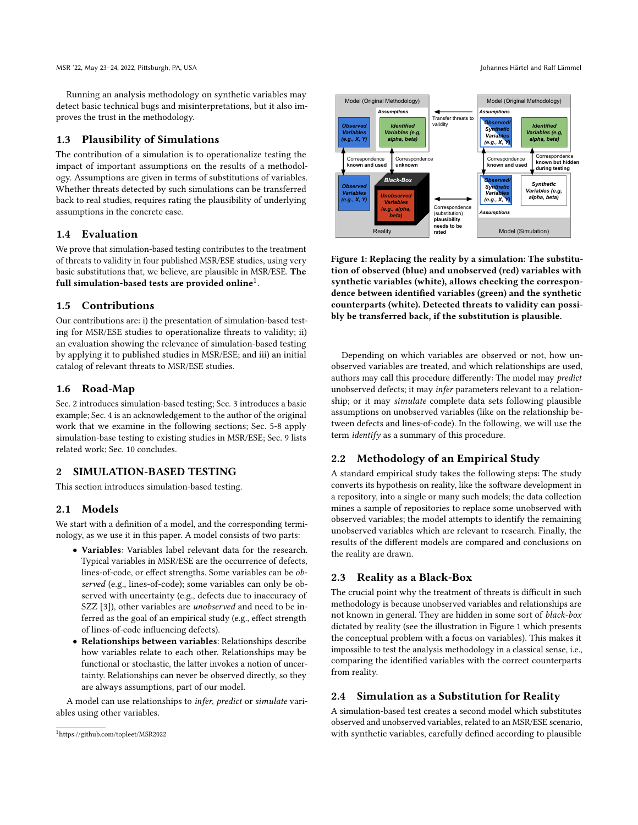Running an analysis methodology on synthetic variables may detect basic technical bugs and misinterpretations, but it also improves the trust in the methodology.

#### 1.3 Plausibility of Simulations

The contribution of a simulation is to operationalize testing the impact of important assumptions on the results of a methodology. Assumptions are given in terms of substitutions of variables. Whether threats detected by such simulations can be transferred back to real studies, requires rating the plausibility of underlying assumptions in the concrete case.

# 1.4 Evaluation

We prove that simulation-based testing contributes to the treatment of threats to validity in four published MSR/ESE studies, using very basic substitutions that, we believe, are plausible in MSR/ESE. The full simulation-based tests are provided online $^1\!\!$  $^1\!\!$  $^1\!\!$  .

#### 1.5 Contributions

Our contributions are: i) the presentation of simulation-based testing for MSR/ESE studies to operationalize threats to validity; ii) an evaluation showing the relevance of simulation-based testing by applying it to published studies in MSR/ESE; and iii) an initial catalog of relevant threats to MSR/ESE studies.

### 1.6 Road-Map

Sec. [2](#page-1-1) introduces simulation-based testing; Sec. [3](#page-2-0) introduces a basic example; Sec. [4](#page-4-0) is an acknowledgement to the author of the original work that we examine in the following sections; Sec. [5](#page-4-1)[-8](#page-8-0) apply simulation-base testing to existing studies in MSR/ESE; Sec. [9](#page-9-0) lists related work; Sec. [10](#page-10-0) concludes.

# <span id="page-1-1"></span>2 SIMULATION-BASED TESTING

This section introduces simulation-based testing.

### 2.1 Models

We start with a definition of a model, and the corresponding terminology, as we use it in this paper. A model consists of two parts:

- Variables: Variables label relevant data for the research. Typical variables in MSR/ESE are the occurrence of defects, lines-of-code, or effect strengths. Some variables can be observed (e.g., lines-of-code); some variables can only be observed with uncertainty (e.g., defects due to inaccuracy of SZZ [\[3\]](#page-11-3)), other variables are *unobserved* and need to be inferred as the goal of an empirical study (e.g., effect strength of lines-of-code influencing defects).
- Relationships between variables: Relationships describe how variables relate to each other. Relationships may be functional or stochastic, the latter invokes a notion of uncertainty. Relationships can never be observed directly, so they are always assumptions, part of our model.

A model can use relationships to infer, predict or simulate variables using other variables.

<span id="page-1-2"></span>

Figure 1: Replacing the reality by a simulation: The substitution of observed (blue) and unobserved (red) variables with synthetic variables (white), allows checking the correspondence between identified variables (green) and the synthetic counterparts (white). Detected threats to validity can possibly be transferred back, if the substitution is plausible.

Depending on which variables are observed or not, how unobserved variables are treated, and which relationships are used, authors may call this procedure differently: The model may predict unobserved defects; it may infer parameters relevant to a relationship; or it may simulate complete data sets following plausible assumptions on unobserved variables (like on the relationship between defects and lines-of-code). In the following, we will use the term identify as a summary of this procedure.

# 2.2 Methodology of an Empirical Study

A standard empirical study takes the following steps: The study converts its hypothesis on reality, like the software development in a repository, into a single or many such models; the data collection mines a sample of repositories to replace some unobserved with observed variables; the model attempts to identify the remaining unobserved variables which are relevant to research. Finally, the results of the different models are compared and conclusions on the reality are drawn.

# 2.3 Reality as a Black-Box

The crucial point why the treatment of threats is difficult in such methodology is because unobserved variables and relationships are not known in general. They are hidden in some sort of black-box dictated by reality (see the illustration in Figure [1](#page-1-2) which presents the conceptual problem with a focus on variables). This makes it impossible to test the analysis methodology in a classical sense, i.e., comparing the identified variables with the correct counterparts from reality.

# 2.4 Simulation as a Substitution for Reality

A simulation-based test creates a second model which substitutes observed and unobserved variables, related to an MSR/ESE scenario, with synthetic variables, carefully defined according to plausible

<span id="page-1-0"></span><sup>1</sup><https://github.com/topleet/MSR2022>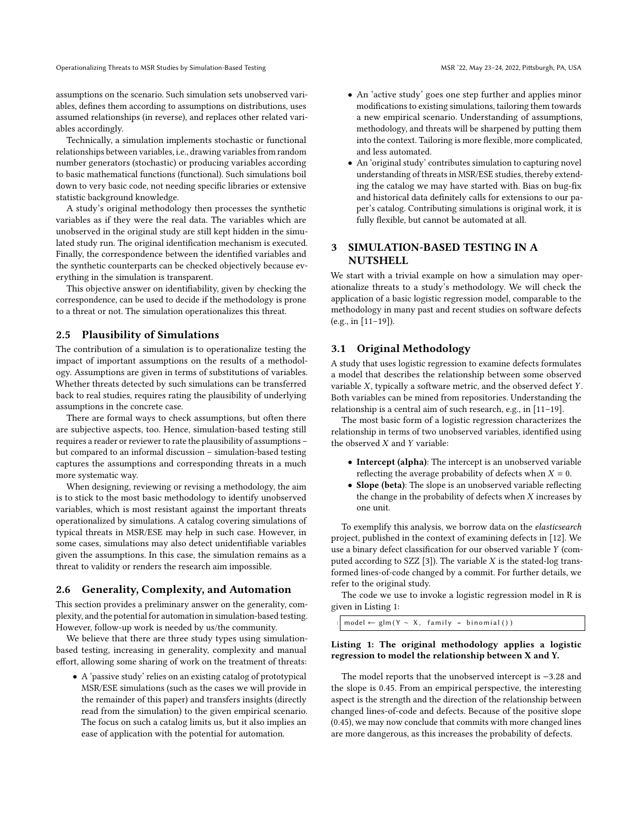assumptions on the scenario. Such simulation sets unobserved variables, defines them according to assumptions on distributions, uses assumed relationships (in reverse), and replaces other related variables accordingly.

Technically, a simulation implements stochastic or functional relationships between variables, i.e., drawing variables from random number generators (stochastic) or producing variables according to basic mathematical functions (functional). Such simulations boil down to very basic code, not needing specific libraries or extensive statistic background knowledge.

A study's original methodology then processes the synthetic variables as if they were the real data. The variables which are unobserved in the original study are still kept hidden in the simulated study run. The original identification mechanism is executed. Finally, the correspondence between the identified variables and the synthetic counterparts can be checked objectively because everything in the simulation is transparent.

This objective answer on identifiability, given by checking the correspondence, can be used to decide if the methodology is prone to a threat or not. The simulation operationalizes this threat.

#### 2.5 Plausibility of Simulations

The contribution of a simulation is to operationalize testing the impact of important assumptions on the results of a methodology. Assumptions are given in terms of substitutions of variables. Whether threats detected by such simulations can be transferred back to real studies, requires rating the plausibility of underlying assumptions in the concrete case.

There are formal ways to check assumptions, but often there are subjective aspects, too. Hence, simulation-based testing still requires a reader or reviewer to rate the plausibility of assumptions – but compared to an informal discussion – simulation-based testing captures the assumptions and corresponding threats in a much more systematic way.

When designing, reviewing or revising a methodology, the aim is to stick to the most basic methodology to identify unobserved variables, which is most resistant against the important threats operationalized by simulations. A catalog covering simulations of typical threats in MSR/ESE may help in such case. However, in some cases, simulations may also detect unidentifiable variables given the assumptions. In this case, the simulation remains as a threat to validity or renders the research aim impossible.

# 2.6 Generality, Complexity, and Automation

This section provides a preliminary answer on the generality, complexity, and the potential for automation in simulation-based testing. However, follow-up work is needed by us/the community.

We believe that there are three study types using simulationbased testing, increasing in generality, complexity and manual effort, allowing some sharing of work on the treatment of threats:

• A 'passive study' relies on an existing catalog of prototypical MSR/ESE simulations (such as the cases we will provide in the remainder of this paper) and transfers insights (directly read from the simulation) to the given empirical scenario. The focus on such a catalog limits us, but it also implies an ease of application with the potential for automation.

- An 'active study' goes one step further and applies minor modifications to existing simulations, tailoring them towards a new empirical scenario. Understanding of assumptions, methodology, and threats will be sharpened by putting them into the context. Tailoring is more flexible, more complicated, and less automated.
- An 'original study' contributes simulation to capturing novel understanding of threats in MSR/ESE studies, thereby extending the catalog we may have started with. Bias on bug-fix and historical data definitely calls for extensions to our paper's catalog. Contributing simulations is original work, it is fully flexible, but cannot be automated at all.

# <span id="page-2-0"></span>3 SIMULATION-BASED TESTING IN A **NUTSHELL**

We start with a trivial example on how a simulation may operationalize threats to a study's methodology. We will check the application of a basic logistic regression model, comparable to the methodology in many past and recent studies on software defects (e.g., in [\[11–](#page-11-10)[19\]](#page-11-11)).

# 3.1 Original Methodology

A study that uses logistic regression to examine defects formulates a model that describes the relationship between some observed variable  $X$ , typically a software metric, and the observed defect  $Y$ . Both variables can be mined from repositories. Understanding the relationship is a central aim of such research, e.g., in [\[11](#page-11-10)[–19\]](#page-11-11).

The most basic form of a logistic regression characterizes the relationship in terms of two unobserved variables, identified using the observed  $X$  and  $Y$  variable:

- Intercept (alpha): The intercept is an unobserved variable reflecting the average probability of defects when  $X = 0$ .
- Slope (beta): The slope is an unobserved variable reflecting the change in the probability of defects when  $X$  increases by one unit.

To exemplify this analysis, we borrow data on the elasticsearch project, published in the context of examining defects in [\[12\]](#page-11-12). We use a binary defect classification for our observed variable Y (computed according to SZZ  $[3]$ ). The variable  $X$  is the stated-log transformed lines-of-code changed by a commit. For further details, we refer to the original study.

The code we use to invoke a logistic regression model in R is given in Listing [1:](#page-2-1)

<span id="page-2-1"></span> $model \leftarrow \text{glm} (Y \sim X, \text{ family = binomial} () )$ 

#### Listing 1: The original methodology applies a logistic regression to model the relationship between X and Y.

The model reports that the unobserved intercept is −3.28 and the slope is 0.45. From an empirical perspective, the interesting aspect is the strength and the direction of the relationship between changed lines-of-code and defects. Because of the positive slope (0.45), we may now conclude that commits with more changed lines are more dangerous, as this increases the probability of defects.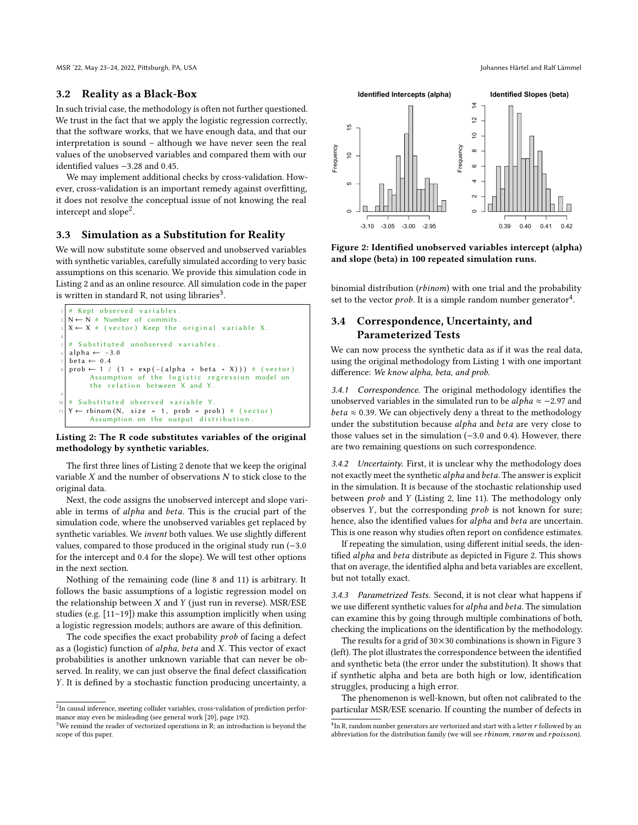MSR '22, May 23–24, 2022, Pittsburgh, PA, USA Johannes Härtel and Ralf Lämmel

#### 3.2 Reality as a Black-Box

In such trivial case, the methodology is often not further questioned. We trust in the fact that we apply the logistic regression correctly, that the software works, that we have enough data, and that our interpretation is sound – although we have never seen the real values of the unobserved variables and compared them with our identified values −3.28 and 0.45.

We may implement additional checks by cross-validation. However, cross-validation is an important remedy against overfitting, it does not resolve the conceptual issue of not knowing the real intercept and slope<sup>[2](#page-3-0)</sup>.

# 3.3 Simulation as a Substitution for Reality

We will now substitute some observed and unobserved variables with synthetic variables, carefully simulated according to very basic assumptions on this scenario. We provide this simulation code in Listing [2](#page-3-1) and as an online resource. All simulation code in the paper is written in standard R, not using libraries $^3$  $^3$ .

```
Kept observed variables
 N \leftarrow N # Number of commits.
 X \leftarrow X # (vector) Keep the original variable X.
4
   Substituted unobserved variables.
 al p ha \leftarrow -3.0beta \leftarrow 0.4prob \leftarrow 1 / (1 + exp(-(alpha + beta * X))) # (vector)
        Assumption of the logistic regression model on
        the relation between X and Y.
9
  # Substituted observed variable Y.<br>Y \leftarrow \text{rhinom}(N \text{ size} = 1 \text{ prob} = \text{proj})\leftarrow rbinom (N, size = 1, prob = prob) # (vector)
        Assumption on the output distribution.
```
#### Listing 2: The R code substitutes variables of the original methodology by synthetic variables.

The first three lines of Listing [2](#page-3-1) denote that we keep the original variable  $X$  and the number of observations  $N$  to stick close to the original data.

Next, the code assigns the unobserved intercept and slope variable in terms of alpha and beta. This is the crucial part of the simulation code, where the unobserved variables get replaced by synthetic variables. We invent both values. We use slightly different values, compared to those produced in the original study run (−3.0 for the intercept and 0.4 for the slope). We will test other options in the next section.

Nothing of the remaining code (line 8 and 11) is arbitrary. It follows the basic assumptions of a logistic regression model on the relationship between  $X$  and  $Y$  (just run in reverse). MSR/ESE studies (e.g. [\[11](#page-11-10)[–19\]](#page-11-11)) make this assumption implicitly when using a logistic regression models; authors are aware of this definition.

The code specifies the exact probability  $prob$  of facing a defect as a (logistic) function of  $alpha$ ,  $beta$ ,  $beta$  and  $X$ . This vector of exact probabilities is another unknown variable that can never be observed. In reality, we can just observe the final defect classification . It is defined by a stochastic function producing uncertainty, a

<span id="page-3-4"></span>

Figure 2: Identified unobserved variables intercept (alpha) and slope (beta) in 100 repeated simulation runs.

binomial distribution  $(rbinom)$  with one trial and the probability set to the vector  $prob$ . It is a simple random number generator<sup>[4](#page-3-3)</sup>.

# 3.4 Correspondence, Uncertainty, and Parameterized Tests

We can now process the synthetic data as if it was the real data, using the original methodology from Listing [1](#page-2-1) with one important difference: We know alpha, beta, and prob.

3.4.1 Correspondence. The original methodology identifies the unobserved variables in the simulated run to be  $alpha \approx -2.97$  and *beta*  $\approx$  0.39. We can objectively deny a threat to the methodology under the substitution because alpha and beta are very close to those values set in the simulation (−3.0 and 0.4). However, there are two remaining questions on such correspondence.

3.4.2 Uncertainty. First, it is unclear why the methodology does not exactly meet the synthetic *alpha* and *beta*. The answer is explicit in the simulation. It is because of the stochastic relationship used between  $prob$  and  $Y$  (Listing [2,](#page-3-1) line 11). The methodology only observes  $Y$ , but the corresponding  $prob$  is not known for sure; hence, also the identified values for alpha and beta are uncertain. This is one reason why studies often report on confidence estimates.

If repeating the simulation, using different initial seeds, the iden-tified alpha and beta distribute as depicted in Figure [2.](#page-3-4) This shows that on average, the identified alpha and beta variables are excellent, but not totally exact.

<span id="page-3-5"></span>3.4.3 Parametrized Tests. Second, it is not clear what happens if we use different synthetic values for alpha and beta. The simulation can examine this by going through multiple combinations of both, checking the implications on the identification by the methodology.

The results for a grid of  $30 \times 30$  $30 \times 30$  $30 \times 30$  combinations is shown in Figure 3 (left). The plot illustrates the correspondence between the identified and synthetic beta (the error under the substitution). It shows that if synthetic alpha and beta are both high or low, identification struggles, producing a high error.

The phenomenon is well-known, but often not calibrated to the particular MSR/ESE scenario. If counting the number of defects in

<span id="page-3-0"></span> ${}^{2}$ In causal inference, meeting collider variables, cross-validation of prediction performance may even be misleading (see general work [\[20\]](#page-11-13), page 192).

<span id="page-3-2"></span> $3$ We remind the reader of vectorized operations in R; an introduction is beyond the scope of this paper.

<span id="page-3-3"></span> ${}^4{\rm In}$  R, random number generators are vertorized and start with a letter  $r$  followed by an abbreviation for the distribution family (we will see  $rbinom$ ,  $rnorm$  and  $rpoisson$ ).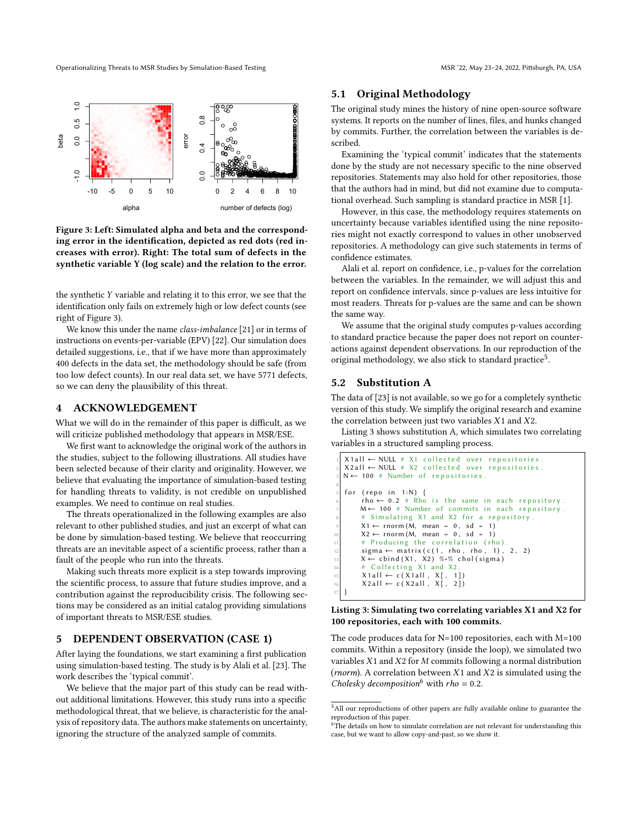<span id="page-4-2"></span>Operationalizing Threats to MSR Studies by Simulation-Based Testing MSR 122, MSR 22, May 23-24, 2022, Pittsburgh, PA, USA



Figure 3: Left: Simulated alpha and beta and the corresponding error in the identification, depicted as red dots (red increases with error). Right: The total sum of defects in the synthetic variable Y (log scale) and the relation to the error.

the synthetic  $Y$  variable and relating it to this error, we see that the identification only fails on extremely high or low defect counts (see right of Figure [3\)](#page-4-2).

We know this under the name class-imbalance [\[21\]](#page-11-14) or in terms of instructions on events-per-variable (EPV) [\[22\]](#page-11-15). Our simulation does detailed suggestions, i.e., that if we have more than approximately 400 defects in the data set, the methodology should be safe (from too low defect counts). In our real data set, we have 5771 defects, so we can deny the plausibility of this threat.

# <span id="page-4-0"></span>4 ACKNOWLEDGEMENT

What we will do in the remainder of this paper is difficult, as we will criticize published methodology that appears in MSR/ESE.

We first want to acknowledge the original work of the authors in the studies, subject to the following illustrations. All studies have been selected because of their clarity and originality. However, we believe that evaluating the importance of simulation-based testing for handling threats to validity, is not credible on unpublished examples. We need to continue on real studies.

The threats operationalized in the following examples are also relevant to other published studies, and just an excerpt of what can be done by simulation-based testing. We believe that reoccurring threats are an inevitable aspect of a scientific process, rather than a fault of the people who run into the threats.

Making such threats more explicit is a step towards improving the scientific process, to assure that future studies improve, and a contribution against the reproducibility crisis. The following sections may be considered as an initial catalog providing simulations of important threats to MSR/ESE studies.

### <span id="page-4-1"></span>5 DEPENDENT OBSERVATION (CASE 1)

After laying the foundations, we start examining a first publication using simulation-based testing. The study is by Alali et al. [\[23\]](#page-11-16). The work describes the 'typical commit'.

We believe that the major part of this study can be read without additional limitations. However, this study runs into a specific methodological threat, that we believe, is characteristic for the analysis of repository data. The authors make statements on uncertainty, ignoring the structure of the analyzed sample of commits.

### 5.1 Original Methodology

The original study mines the history of nine open-source software systems. It reports on the number of lines, files, and hunks changed by commits. Further, the correlation between the variables is described.

Examining the 'typical commit' indicates that the statements done by the study are not necessary specific to the nine observed repositories. Statements may also hold for other repositories, those that the authors had in mind, but did not examine due to computational overhead. Such sampling is standard practice in MSR [\[1\]](#page-11-1).

However, in this case, the methodology requires statements on uncertainty because variables identified using the nine repositories might not exactly correspond to values in other unobserved repositories. A methodology can give such statements in terms of confidence estimates.

Alali et al. report on confidence, i.e., p-values for the correlation between the variables. In the remainder, we will adjust this and report on confidence intervals, since p-values are less intuitive for most readers. Threats for p-values are the same and can be shown the same way.

We assume that the original study computes p-values according to standard practice because the paper does not report on counteractions against dependent observations. In our reproduction of the original methodology, we also stick to standard practice<sup>[5](#page-4-3)</sup>.

# 5.2 Substitution A

The data of [\[23\]](#page-11-16) is not available, so we go for a completely synthetic version of this study. We simplify the original research and examine the correlation between just two variables  $X1$  and  $X2$ .

Listing [3](#page-4-4) shows substitution A, which simulates two correlating variables in a structured sampling process.

```
X 1 a II \leftarrow NULL \# X1 collected over repositories.
  X 2 all \leftarrow NULL # X 2 collected over repositories.
  N \leftarrow 100 # Number of repositories.
4
  for (repo in 1:N) {
        rho \leftarrow 0.2 # Rho is the same in each repository.
       M \leftarrow 100 # Number of commits in each repository.
          Simulating X1 and X2 for a repository.
        X1 \leftarrow \text{rnorm}(\breve{M}, \text{mean} = 0, \text{sd} = 1)X2 \leftarrow \text{rnorm}(M, \text{mean} = 0, \text{sd} = 1)# Producing the correlation (rho).
        sigma \leftarrow matrix(c(1, rho, rho, 1), 2, 2)X \leftarrow \text{cbind}(X1, X2) %∗% chol(sigma)
          Collecting X1 and X2
        X1 all \leftarrow c ( X 1 all , X[, 1]
        X 2 all \leftarrow c (X 2 all, X [, 2])17 }
```
#### Listing 3: Simulating two correlating variables X1 and X2 for 100 repositories, each with 100 commits.

The code produces data for N=100 repositories, each with M=100 commits. Within a repository (inside the loop), we simulated two variables  $X1$  and  $X2$  for  $M$  commits following a normal distribution (*rnorm*). A correlation between  $X1$  and  $X2$  is simulated using the Cholesky decomposition<sup>[6](#page-4-5)</sup> with  $rho = 0.2$ .

<span id="page-4-3"></span> $^5\mbox{All}$  our reproductions of other papers are fully available online to guarantee the reproduction of this paper.

<span id="page-4-5"></span> $6$ The details on how to simulate correlation are not relevant for understanding this case, but we want to allow copy-and-past, so we show it.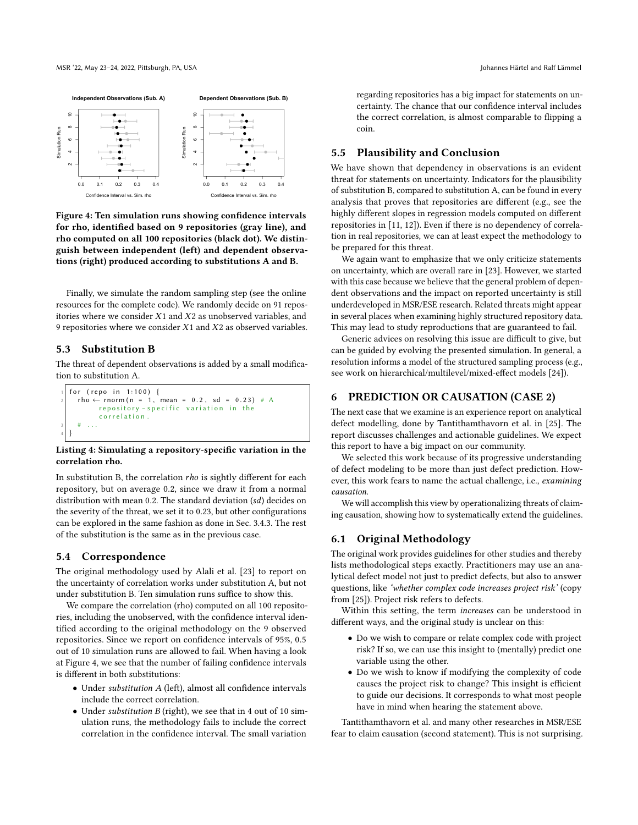<span id="page-5-0"></span>

Figure 4: Ten simulation runs showing confidence intervals for rho, identified based on 9 repositories (gray line), and rho computed on all 100 repositories (black dot). We distinguish between independent (left) and dependent observations (right) produced according to substitutions A and B.

Finally, we simulate the random sampling step (see the online resources for the complete code). We randomly decide on 91 repositories where we consider  $X1$  and  $X2$  as unobserved variables, and 9 repositories where we consider  $X1$  and  $X2$  as observed variables.

# 5.3 Substitution B

The threat of dependent observations is added by a small modification to substitution A.

```
for (repo in 1:100) {
    rho \leftarrow rnorm (n = 1, mean = 0.2, sd = 0.23) # Arepository - specific variation in the
           c o r r e l a t i o n .
3 \mid \quad # \quad \ldots4 }
```
#### Listing 4: Simulating a repository-specific variation in the correlation rho.

In substitution B, the correlation  $rho$  is sightly different for each repository, but on average 0.2, since we draw it from a normal distribution with mean 0.2. The standard deviation  $(sd)$  decides on the severity of the threat, we set it to 0.23, but other configurations can be explored in the same fashion as done in Sec. [3.4.3.](#page-3-5) The rest of the substitution is the same as in the previous case.

# 5.4 Correspondence

The original methodology used by Alali et al. [\[23\]](#page-11-16) to report on the uncertainty of correlation works under substitution A, but not under substitution B. Ten simulation runs suffice to show this.

We compare the correlation (rho) computed on all 100 repositories, including the unobserved, with the confidence interval identified according to the original methodology on the 9 observed repositories. Since we report on confidence intervals of 95%, 0.5 out of 10 simulation runs are allowed to fail. When having a look at Figure [4,](#page-5-0) we see that the number of failing confidence intervals is different in both substitutions:

- Under substitution A (left), almost all confidence intervals include the correct correlation.
- Under substitution B (right), we see that in 4 out of 10 simulation runs, the methodology fails to include the correct correlation in the confidence interval. The small variation

regarding repositories has a big impact for statements on uncertainty. The chance that our confidence interval includes the correct correlation, is almost comparable to flipping a coin.

# 5.5 Plausibility and Conclusion

We have shown that dependency in observations is an evident threat for statements on uncertainty. Indicators for the plausibility of substitution B, compared to substitution A, can be found in every analysis that proves that repositories are different (e.g., see the highly different slopes in regression models computed on different repositories in [\[11,](#page-11-10) [12\]](#page-11-12)). Even if there is no dependency of correlation in real repositories, we can at least expect the methodology to be prepared for this threat.

We again want to emphasize that we only criticize statements on uncertainty, which are overall rare in [\[23\]](#page-11-16). However, we started with this case because we believe that the general problem of dependent observations and the impact on reported uncertainty is still underdeveloped in MSR/ESE research. Related threats might appear in several places when examining highly structured repository data. This may lead to study reproductions that are guaranteed to fail.

Generic advices on resolving this issue are difficult to give, but can be guided by evolving the presented simulation. In general, a resolution informs a model of the structured sampling process (e.g., see work on hierarchical/multilevel/mixed-effect models [\[24\]](#page-11-17)).

# 6 PREDICTION OR CAUSATION (CASE 2)

The next case that we examine is an experience report on analytical defect modelling, done by Tantithamthavorn et al. in [\[25\]](#page-11-18). The report discusses challenges and actionable guidelines. We expect this report to have a big impact on our community.

We selected this work because of its progressive understanding of defect modeling to be more than just defect prediction. However, this work fears to name the actual challenge, i.e., examining causation.

We will accomplish this view by operationalizing threats of claiming causation, showing how to systematically extend the guidelines.

# 6.1 Original Methodology

The original work provides guidelines for other studies and thereby lists methodological steps exactly. Practitioners may use an analytical defect model not just to predict defects, but also to answer questions, like 'whether complex code increases project risk' (copy from [\[25\]](#page-11-18)). Project risk refers to defects.

Within this setting, the term increases can be understood in different ways, and the original study is unclear on this:

- Do we wish to compare or relate complex code with project risk? If so, we can use this insight to (mentally) predict one variable using the other.
- Do we wish to know if modifying the complexity of code causes the project risk to change? This insight is efficient to guide our decisions. It corresponds to what most people have in mind when hearing the statement above.

Tantithamthavorn et al. and many other researches in MSR/ESE fear to claim causation (second statement). This is not surprising.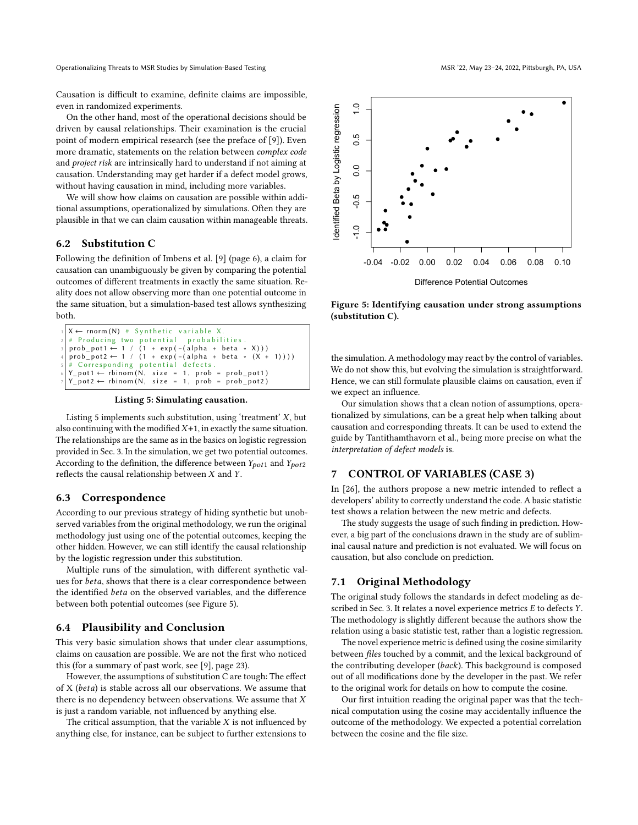Causation is difficult to examine, definite claims are impossible, even in randomized experiments.

On the other hand, most of the operational decisions should be driven by causal relationships. Their examination is the crucial point of modern empirical research (see the preface of [\[9\]](#page-11-8)). Even more dramatic, statements on the relation between complex code and project risk are intrinsically hard to understand if not aiming at causation. Understanding may get harder if a defect model grows, without having causation in mind, including more variables.

We will show how claims on causation are possible within additional assumptions, operationalized by simulations. Often they are plausible in that we can claim causation within manageable threats.

#### 6.2 Substitution C

Following the definition of Imbens et al. [\[9\]](#page-11-8) (page 6), a claim for causation can unambiguously be given by comparing the potential outcomes of different treatments in exactly the same situation. Reality does not allow observing more than one potential outcome in the same situation, but a simulation-based test allows synthesizing both.

```
X \leftarrow \text{norm}(N) \# \text{Synthetic variable } X.<br># Producing two potential probabilities
  # Producing two potential
3 prob_pot1 ← 1 / (1 + exp(-(alpha + beta * X)))<br>4 prob_pot2 ← 1 / (1 + exp(-(alpha + beta * (X + 1))))
     Corresponding potential defects<br>pot1 \leftarrow rbinom(N, size = 1, prob
  Y\_pot1 \leftarrow rbinom (N, size = 1, prob = prob_pot1)
  Y_{p0}t2 \leftarrow rbinom (N, size = 1, prob = prob_pot2)
```
Listing 5: Simulating causation.

Listing [5](#page-6-0) implements such substitution, using 'treatment'  $X$ , but also continuing with the modified  $X+1$ , in exactly the same situation. The relationships are the same as in the basics on logistic regression provided in Sec. [3.](#page-2-0) In the simulation, we get two potential outcomes. According to the definition, the difference between  $Y_{pot1}$  and  $Y_{pot2}$ reflects the causal relationship between  $X$  and  $Y$ .

### 6.3 Correspondence

According to our previous strategy of hiding synthetic but unobserved variables from the original methodology, we run the original methodology just using one of the potential outcomes, keeping the other hidden. However, we can still identify the causal relationship by the logistic regression under this substitution.

Multiple runs of the simulation, with different synthetic values for *beta*, shows that there is a clear correspondence between the identified *beta* on the observed variables, and the difference between both potential outcomes (see Figure [5\)](#page-6-1).

### 6.4 Plausibility and Conclusion

This very basic simulation shows that under clear assumptions, claims on causation are possible. We are not the first who noticed this (for a summary of past work, see [\[9\]](#page-11-8), page 23).

However, the assumptions of substitution C are tough: The effect of X ( $beta$ ) is stable across all our observations. We assume that there is no dependency between observations. We assume that  $X$ is just a random variable, not influenced by anything else.

The critical assumption, that the variable  $X$  is not influenced by anything else, for instance, can be subject to further extensions to

<span id="page-6-1"></span>

Figure 5: Identifying causation under strong assumptions (substitution C).

the simulation. A methodology may react by the control of variables. We do not show this, but evolving the simulation is straightforward. Hence, we can still formulate plausible claims on causation, even if we expect an influence.

Our simulation shows that a clean notion of assumptions, operationalized by simulations, can be a great help when talking about causation and corresponding threats. It can be used to extend the guide by Tantithamthavorn et al., being more precise on what the interpretation of defect models is.

#### <span id="page-6-2"></span>7 CONTROL OF VARIABLES (CASE 3)

In [\[26\]](#page-11-19), the authors propose a new metric intended to reflect a developers' ability to correctly understand the code. A basic statistic test shows a relation between the new metric and defects.

The study suggests the usage of such finding in prediction. However, a big part of the conclusions drawn in the study are of subliminal causal nature and prediction is not evaluated. We will focus on causation, but also conclude on prediction.

#### 7.1 Original Methodology

The original study follows the standards in defect modeling as de-scribed in Sec. [3.](#page-2-0) It relates a novel experience metrics  $E$  to defects  $Y$ . The methodology is slightly different because the authors show the relation using a basic statistic test, rather than a logistic regression.

The novel experience metric is defined using the cosine similarity between files touched by a commit, and the lexical background of the contributing developer (back). This background is composed out of all modifications done by the developer in the past. We refer to the original work for details on how to compute the cosine.

Our first intuition reading the original paper was that the technical computation using the cosine may accidentally influence the outcome of the methodology. We expected a potential correlation between the cosine and the file size.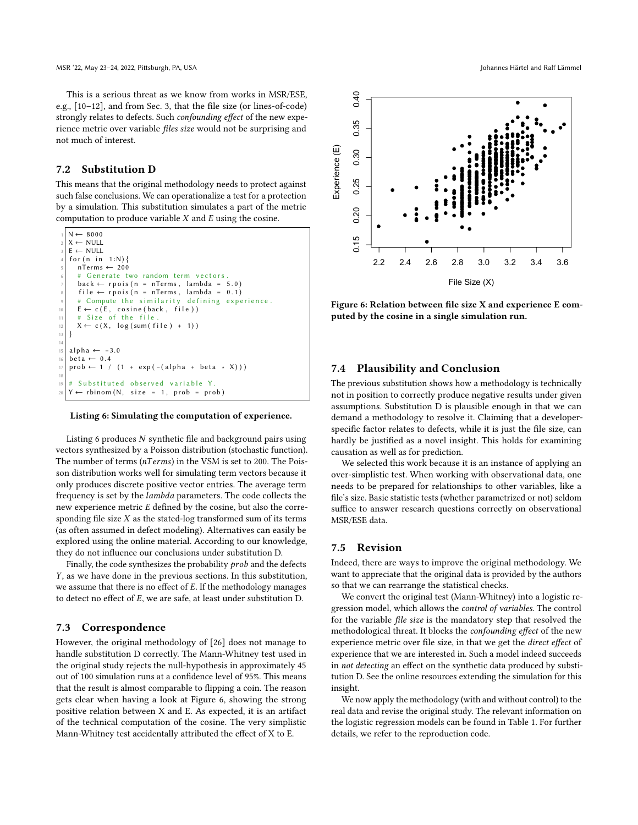This is a serious threat as we know from works in MSR/ESE, e.g., [\[10–](#page-11-9)[12\]](#page-11-12), and from Sec. [3,](#page-2-0) that the file size (or lines-of-code) strongly relates to defects. Such confounding effect of the new experience metric over variable files size would not be surprising and not much of interest.

# 7.2 Substitution D

This means that the original methodology needs to protect against such false conclusions. We can operationalize a test for a protection by a simulation. This substitution simulates a part of the metric computation to produce variable  $X$  and  $E$  using the cosine.

```
N \leftarrow 8000X \leftarrow \text{NULL}E \leftarrow \text{NULL}for (n in 1:N)nTerms \leftarrow 200Generate two random term vectors.
     back \leftarrow rpois (n = nTerms, lambda = 5.0)
     file \leftarrow \text{rpois} (n = nTerms, lambda = 0.1)# Compute the similarity defining experience.
10 E ← c (E, cosine (back, file))<br>
11 # Size of the file.
12 X \leftarrow c(X, log(sum(file) + 1))13 }
14
15 alpha ← -3.0
  beta \leftarrow 0.4prob \leftarrow 1 / (1 + exp(-( alpha + beta * X)))18
     Substituted observed variable Y
   Y \leftarrow rbinom (N, size = 1, prob = prob)
```
#### Listing 6: Simulating the computation of experience.

Listing [6](#page-7-0) produces  $N$  synthetic file and background pairs using vectors synthesized by a Poisson distribution (stochastic function). The number of terms ( $nTerms$ ) in the VSM is set to 200. The Poisson distribution works well for simulating term vectors because it only produces discrete positive vector entries. The average term frequency is set by the lambda parameters. The code collects the new experience metric  $E$  defined by the cosine, but also the corresponding file size  $X$  as the stated-log transformed sum of its terms (as often assumed in defect modeling). Alternatives can easily be explored using the online material. According to our knowledge, they do not influence our conclusions under substitution D.

Finally, the code synthesizes the probability  $prob$  and the defects , as we have done in the previous sections. In this substitution, we assume that there is no effect of  $E$ . If the methodology manages to detect no effect of  $E$ , we are safe, at least under substitution D.

### 7.3 Correspondence

However, the original methodology of [\[26\]](#page-11-19) does not manage to handle substitution D correctly. The Mann-Whitney test used in the original study rejects the null-hypothesis in approximately 45 out of 100 simulation runs at a confidence level of 95%. This means that the result is almost comparable to flipping a coin. The reason gets clear when having a look at Figure [6,](#page-7-1) showing the strong positive relation between X and E. As expected, it is an artifact of the technical computation of the cosine. The very simplistic Mann-Whitney test accidentally attributed the effect of X to E.

<span id="page-7-1"></span>

Figure 6: Relation between file size X and experience E computed by the cosine in a single simulation run.

#### 7.4 Plausibility and Conclusion

The previous substitution shows how a methodology is technically not in position to correctly produce negative results under given assumptions. Substitution D is plausible enough in that we can demand a methodology to resolve it. Claiming that a developerspecific factor relates to defects, while it is just the file size, can hardly be justified as a novel insight. This holds for examining causation as well as for prediction.

We selected this work because it is an instance of applying an over-simplistic test. When working with observational data, one needs to be prepared for relationships to other variables, like a file's size. Basic statistic tests (whether parametrized or not) seldom suffice to answer research questions correctly on observational MSR/ESE data.

# 7.5 Revision

Indeed, there are ways to improve the original methodology. We want to appreciate that the original data is provided by the authors so that we can rearrange the statistical checks.

We convert the original test (Mann-Whitney) into a logistic regression model, which allows the control of variables. The control for the variable file size is the mandatory step that resolved the methodological threat. It blocks the confounding effect of the new experience metric over file size, in that we get the direct effect of experience that we are interested in. Such a model indeed succeeds in not detecting an effect on the synthetic data produced by substitution D. See the online resources extending the simulation for this insight.

We now apply the methodology (with and without control) to the real data and revise the original study. The relevant information on the logistic regression models can be found in Table [1.](#page-8-1) For further details, we refer to the reproduction code.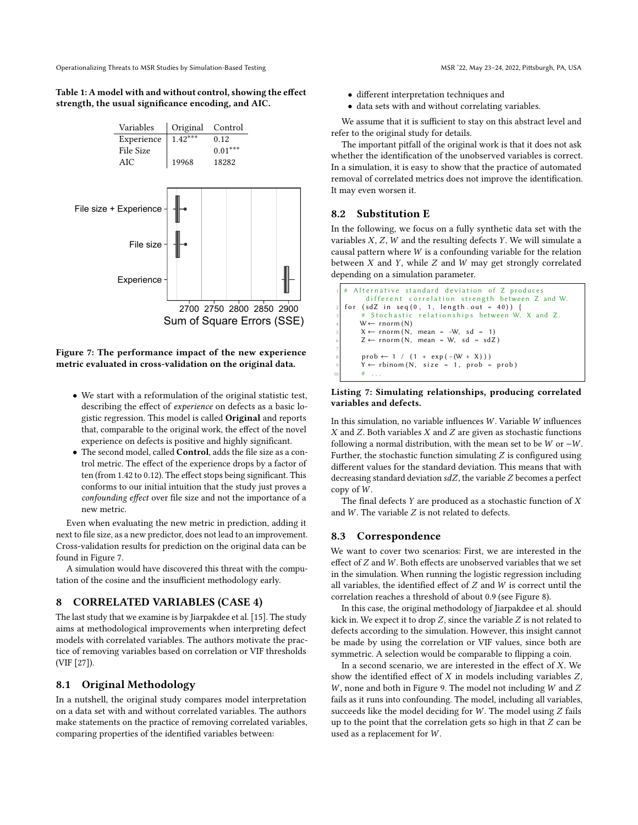<span id="page-8-1"></span>Table 1: A model with and without control, showing the effect strength, the usual significance encoding, and AIC.

<span id="page-8-2"></span>

Figure 7: The performance impact of the new experience metric evaluated in cross-validation on the original data.

- We start with a reformulation of the original statistic test, describing the effect of experience on defects as a basic logistic regression. This model is called Original and reports that, comparable to the original work, the effect of the novel experience on defects is positive and highly significant.
- The second model, called Control, adds the file size as a control metric. The effect of the experience drops by a factor of ten (from 1.42 to 0.12). The effect stops being significant. This conforms to our initial intuition that the study just proves a confounding effect over file size and not the importance of a new metric.

Even when evaluating the new metric in prediction, adding it next to file size, as a new predictor, does not lead to an improvement. Cross-validation results for prediction on the original data can be found in Figure [7.](#page-8-2)

A simulation would have discovered this threat with the computation of the cosine and the insufficient methodology early.

# <span id="page-8-0"></span>8 CORRELATED VARIABLES (CASE 4)

The last study that we examine is by Jiarpakdee et al. [\[15\]](#page-11-20). The study aims at methodological improvements when interpreting defect models with correlated variables. The authors motivate the practice of removing variables based on correlation or VIF thresholds (VIF [\[27\]](#page-11-21)).

# 8.1 Original Methodology

In a nutshell, the original study compares model interpretation on a data set with and without correlated variables. The authors make statements on the practice of removing correlated variables, comparing properties of the identified variables between:

- different interpretation techniques and
- data sets with and without correlating variables.

We assume that it is sufficient to stay on this abstract level and refer to the original study for details.

The important pitfall of the original work is that it does not ask whether the identification of the unobserved variables is correct. In a simulation, it is easy to show that the practice of automated removal of correlated metrics does not improve the identification. It may even worsen it.

### 8.2 Substitution E

In the following, we focus on a fully synthetic data set with the variables  $X$ ,  $Z$ ,  $W$  and the resulting defects  $Y$ . We will simulate a causal pattern where  $W$  is a confounding variable for the relation between  $X$  and  $Y$ , while  $Z$  and  $W$  may get strongly correlated depending on a simulation parameter.

```
Alternative standard deviation of Z produces
                different correlation strength between Z and W.
    for (sdZ in seq(0, 1, length.out = 40)) {
                  Stochastic relationships between W, X and Z.
            W \leftarrow \text{rnorm}(N)5 X \leftarrow \text{rnorm}(N, \text{ mean } = -W, \text{ sd } = 1)<br>6 Z \leftarrow \text{rnorm}(N, \text{ mean } = W, \text{ sd } = \text{sdZ})7
             prob \leftarrow 1 / (1 + exp(- (W + X)))Y \leftarrow rbinom (N, size = 1, prob = prob)
10 \qquad \qquad \qquad \qquad \qquad \qquad \qquad \qquad \qquad \qquad \qquad \qquad \qquad \qquad \qquad \qquad \qquad \qquad \qquad \qquad \qquad \qquad \qquad \qquad \qquad \qquad \qquad \qquad \qquad \qquad \qquad \qquad \qquad \qquad \qquad \qquad
```
#### Listing 7: Simulating relationships, producing correlated variables and defects.

In this simulation, no variable influences  $W$ . Variable  $W$  influences  $X$  and  $Z$ . Both variables  $X$  and  $Z$  are given as stochastic functions following a normal distribution, with the mean set to be  $W$  or  $-W$ . Further, the stochastic function simulating  $Z$  is configured using different values for the standard deviation. This means that with decreasing standard deviation  $sdZ$ , the variable  $Z$  becomes a perfect copy of  $W$ .

The final defects  $Y$  are produced as a stochastic function of  $X$ and  $W$ . The variable  $Z$  is not related to defects.

### 8.3 Correspondence

We want to cover two scenarios: First, we are interested in the effect of  $Z$  and  $W$ . Both effects are unobserved variables that we set in the simulation. When running the logistic regression including all variables, the identified effect of  $Z$  and  $W$  is correct until the correlation reaches a threshold of about 0.9 (see Figure [8\)](#page-9-1).

In this case, the original methodology of Jiarpakdee et al. should kick in. We expect it to drop  $Z$ , since the variable  $Z$  is not related to defects according to the simulation. However, this insight cannot be made by using the correlation or VIF values, since both are symmetric. A selection would be comparable to flipping a coin.

In a second scenario, we are interested in the effect of  $X$ . We show the identified effect of  $X$  in models including variables  $Z$ ,  $W$ , none and both in Figure [9.](#page-9-2) The model not including  $W$  and  $Z$ fails as it runs into confounding. The model, including all variables, succeeds like the model deciding for  $W$ . The model using  $Z$  fails up to the point that the correlation gets so high in that  $Z$  can be used as a replacement for  $W$ .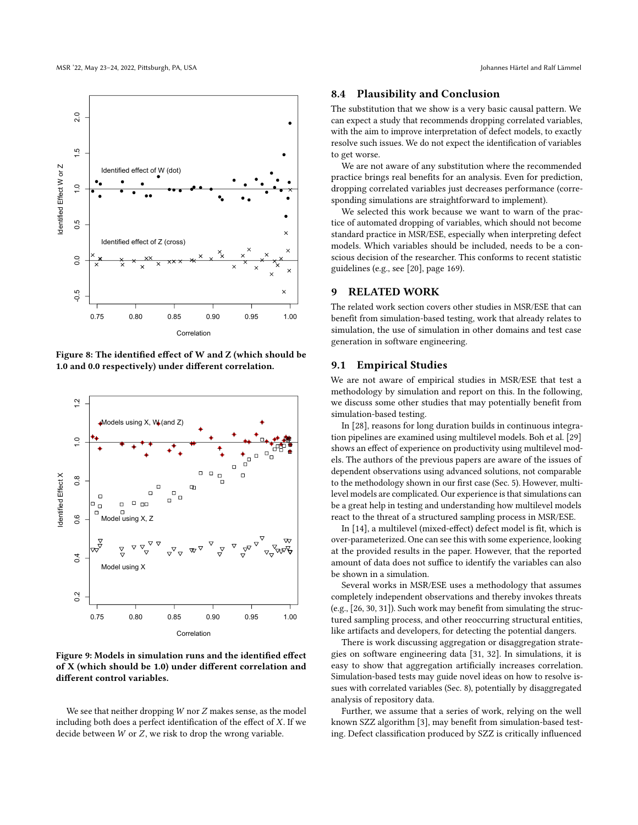<span id="page-9-1"></span>

Figure 8: The identified effect of W and Z (which should be 1.0 and 0.0 respectively) under different correlation.

<span id="page-9-2"></span>

Figure 9: Models in simulation runs and the identified effect of X (which should be 1.0) under different correlation and different control variables.

We see that neither dropping  $W$  nor  $Z$  makes sense, as the model including both does a perfect identification of the effect of  $X$ . If we decide between  $W$  or  $Z$ , we risk to drop the wrong variable.

#### 8.4 Plausibility and Conclusion

The substitution that we show is a very basic causal pattern. We can expect a study that recommends dropping correlated variables, with the aim to improve interpretation of defect models, to exactly resolve such issues. We do not expect the identification of variables to get worse.

We are not aware of any substitution where the recommended practice brings real benefits for an analysis. Even for prediction, dropping correlated variables just decreases performance (corresponding simulations are straightforward to implement).

We selected this work because we want to warn of the practice of automated dropping of variables, which should not become standard practice in MSR/ESE, especially when interpreting defect models. Which variables should be included, needs to be a conscious decision of the researcher. This conforms to recent statistic guidelines (e.g., see [\[20\]](#page-11-13), page 169).

# <span id="page-9-0"></span>9 RELATED WORK

The related work section covers other studies in MSR/ESE that can benefit from simulation-based testing, work that already relates to simulation, the use of simulation in other domains and test case generation in software engineering.

#### 9.1 Empirical Studies

We are not aware of empirical studies in MSR/ESE that test a methodology by simulation and report on this. In the following, we discuss some other studies that may potentially benefit from simulation-based testing.

In [\[28\]](#page-11-22), reasons for long duration builds in continuous integration pipelines are examined using multilevel models. Boh et al. [\[29\]](#page-11-23) shows an effect of experience on productivity using multilevel models. The authors of the previous papers are aware of the issues of dependent observations using advanced solutions, not comparable to the methodology shown in our first case (Sec. [5\)](#page-4-1). However, multilevel models are complicated. Our experience is that simulations can be a great help in testing and understanding how multilevel models react to the threat of a structured sampling process in MSR/ESE.

In [\[14\]](#page-11-24), a multilevel (mixed-effect) defect model is fit, which is over-parameterized. One can see this with some experience, looking at the provided results in the paper. However, that the reported amount of data does not suffice to identify the variables can also be shown in a simulation.

Several works in MSR/ESE uses a methodology that assumes completely independent observations and thereby invokes threats (e.g., [\[26,](#page-11-19) [30,](#page-11-25) [31\]](#page-11-26)). Such work may benefit from simulating the structured sampling process, and other reoccurring structural entities, like artifacts and developers, for detecting the potential dangers.

There is work discussing aggregation or disaggregation strategies on software engineering data [\[31,](#page-11-26) [32\]](#page-11-27). In simulations, it is easy to show that aggregation artificially increases correlation. Simulation-based tests may guide novel ideas on how to resolve issues with correlated variables (Sec. [8\)](#page-8-0), potentially by disaggregated analysis of repository data.

Further, we assume that a series of work, relying on the well known SZZ algorithm [\[3\]](#page-11-3), may benefit from simulation-based testing. Defect classification produced by SZZ is critically influenced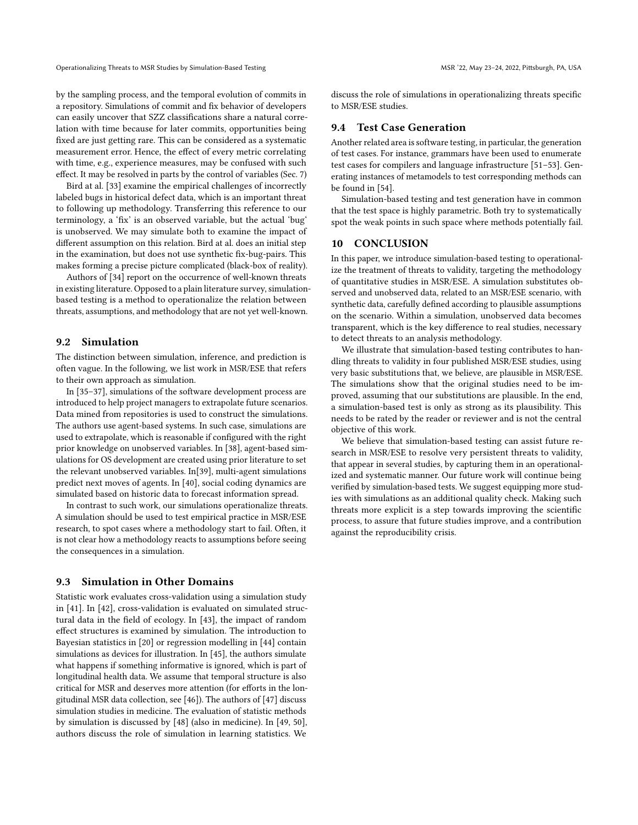by the sampling process, and the temporal evolution of commits in a repository. Simulations of commit and fix behavior of developers can easily uncover that SZZ classifications share a natural correlation with time because for later commits, opportunities being fixed are just getting rare. This can be considered as a systematic measurement error. Hence, the effect of every metric correlating with time, e.g., experience measures, may be confused with such effect. It may be resolved in parts by the control of variables (Sec. [7\)](#page-6-2)

Bird at al. [\[33\]](#page-11-28) examine the empirical challenges of incorrectly labeled bugs in historical defect data, which is an important threat to following up methodology. Transferring this reference to our terminology, a 'fix' is an observed variable, but the actual 'bug' is unobserved. We may simulate both to examine the impact of different assumption on this relation. Bird at al. does an initial step in the examination, but does not use synthetic fix-bug-pairs. This makes forming a precise picture complicated (black-box of reality).

Authors of [\[34\]](#page-11-29) report on the occurrence of well-known threats in existing literature. Opposed to a plain literature survey, simulationbased testing is a method to operationalize the relation between threats, assumptions, and methodology that are not yet well-known.

# 9.2 Simulation

The distinction between simulation, inference, and prediction is often vague. In the following, we list work in MSR/ESE that refers to their own approach as simulation.

In [\[35–](#page-11-30)[37\]](#page-11-31), simulations of the software development process are introduced to help project managers to extrapolate future scenarios. Data mined from repositories is used to construct the simulations. The authors use agent-based systems. In such case, simulations are used to extrapolate, which is reasonable if configured with the right prior knowledge on unobserved variables. In [\[38\]](#page-11-32), agent-based simulations for OS development are created using prior literature to set the relevant unobserved variables. In[\[39\]](#page-11-33), multi-agent simulations predict next moves of agents. In [\[40\]](#page-11-34), social coding dynamics are simulated based on historic data to forecast information spread.

In contrast to such work, our simulations operationalize threats. A simulation should be used to test empirical practice in MSR/ESE research, to spot cases where a methodology start to fail. Often, it is not clear how a methodology reacts to assumptions before seeing the consequences in a simulation.

#### 9.3 Simulation in Other Domains

Statistic work evaluates cross-validation using a simulation study in [\[41\]](#page-11-35). In [\[42\]](#page-11-36), cross-validation is evaluated on simulated structural data in the field of ecology. In [\[43\]](#page-11-37), the impact of random effect structures is examined by simulation. The introduction to Bayesian statistics in [\[20\]](#page-11-13) or regression modelling in [\[44\]](#page-11-38) contain simulations as devices for illustration. In [\[45\]](#page-11-39), the authors simulate what happens if something informative is ignored, which is part of longitudinal health data. We assume that temporal structure is also critical for MSR and deserves more attention (for efforts in the longitudinal MSR data collection, see [\[46\]](#page-11-40)). The authors of [\[47\]](#page-11-41) discuss simulation studies in medicine. The evaluation of statistic methods by simulation is discussed by [\[48\]](#page-11-42) (also in medicine). In [\[49,](#page-11-43) [50\]](#page-11-44), authors discuss the role of simulation in learning statistics. We

discuss the role of simulations in operationalizing threats specific to MSR/ESE studies.

# 9.4 Test Case Generation

Another related area is software testing, in particular, the generation of test cases. For instance, grammars have been used to enumerate test cases for compilers and language infrastructure [\[51–](#page-11-45)[53\]](#page-11-46). Generating instances of metamodels to test corresponding methods can be found in [\[54\]](#page-11-47).

Simulation-based testing and test generation have in common that the test space is highly parametric. Both try to systematically spot the weak points in such space where methods potentially fail.

#### <span id="page-10-0"></span>10 CONCLUSION

In this paper, we introduce simulation-based testing to operationalize the treatment of threats to validity, targeting the methodology of quantitative studies in MSR/ESE. A simulation substitutes observed and unobserved data, related to an MSR/ESE scenario, with synthetic data, carefully defined according to plausible assumptions on the scenario. Within a simulation, unobserved data becomes transparent, which is the key difference to real studies, necessary to detect threats to an analysis methodology.

We illustrate that simulation-based testing contributes to handling threats to validity in four published MSR/ESE studies, using very basic substitutions that, we believe, are plausible in MSR/ESE. The simulations show that the original studies need to be improved, assuming that our substitutions are plausible. In the end, a simulation-based test is only as strong as its plausibility. This needs to be rated by the reader or reviewer and is not the central objective of this work.

We believe that simulation-based testing can assist future research in MSR/ESE to resolve very persistent threats to validity, that appear in several studies, by capturing them in an operationalized and systematic manner. Our future work will continue being verified by simulation-based tests. We suggest equipping more studies with simulations as an additional quality check. Making such threats more explicit is a step towards improving the scientific process, to assure that future studies improve, and a contribution against the reproducibility crisis.